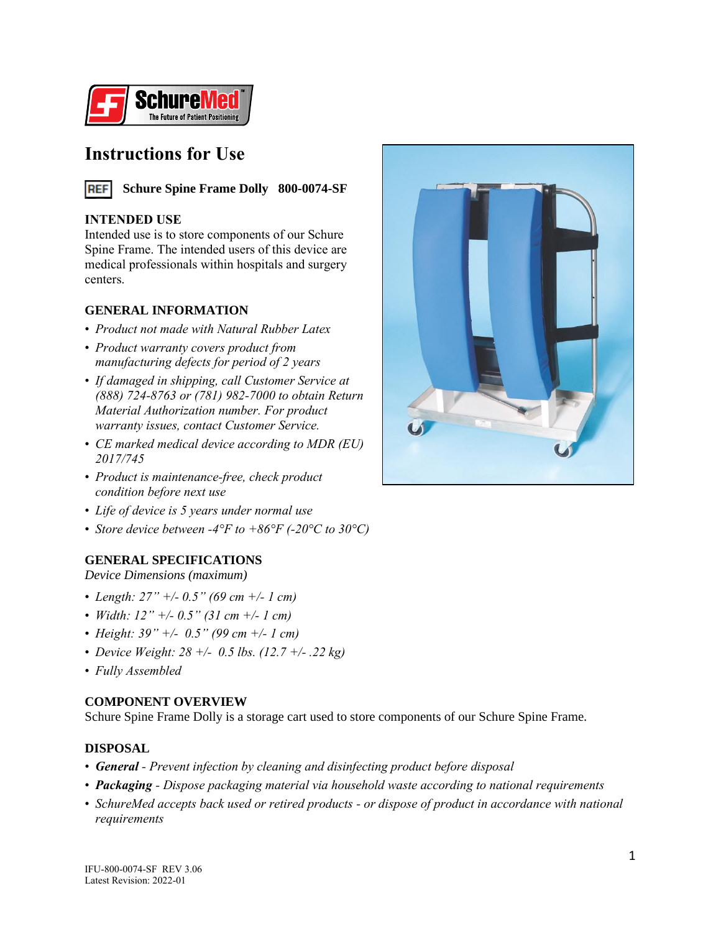

## **Instructions for Use**



### **INTENDED USE**

Intended use is to store components of our Schure Spine Frame. The intended users of this device are medical professionals within hospitals and surgery centers.

### **GENERAL INFORMATION**

- *Product not made with Natural Rubber Latex*
- *Product warranty covers product from manufacturing defects for period of 2 years*
- *If damaged in shipping, call Customer Service at (888) 724-8763 or (781) 982-7000 to obtain Return Material Authorization number. For product warranty issues, contact Customer Service.*
- *CE marked medical device according to MDR (EU) 2017/745*
- *Product is maintenance-free, check product condition before next use*
- *Life of device is 5 years under normal use*
- *Store device between -4°F to +86°F (-20°C to 30°C)*

### **GENERAL SPECIFICATIONS**

*Device Dimensions (maximum)*

- *Length: 27" +/- 0.5" (69 cm +/- 1 cm)*
- *Width: 12" +/- 0.5" (31 cm +/- 1 cm)*
- *Height: 39" +/- 0.5" (99 cm +/- 1 cm)*
- *Device Weight: 28 +/- 0.5 lbs. (12.7 +/- .22 kg)*
- *Fully Assembled*

### **COMPONENT OVERVIEW**

Schure Spine Frame Dolly is a storage cart used to store components of our Schure Spine Frame.

### **DISPOSAL**

- *General - Prevent infection by cleaning and disinfecting product before disposal*
- *Packaging - Dispose packaging material via household waste according to national requirements*
- *SchureMed accepts back used or retired products - or dispose of product in accordance with national requirements*

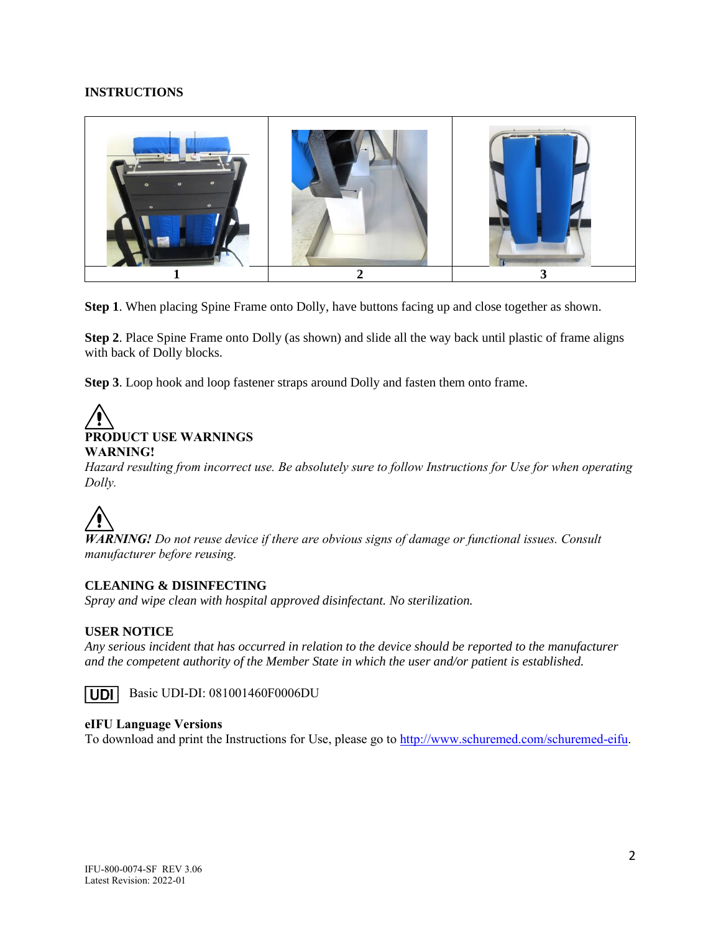### **INSTRUCTIONS**



**Step 1**. When placing Spine Frame onto Dolly, have buttons facing up and close together as shown.

**Step 2**. Place Spine Frame onto Dolly (as shown) and slide all the way back until plastic of frame aligns with back of Dolly blocks.

**Step 3**. Loop hook and loop fastener straps around Dolly and fasten them onto frame.

# **PRODUCT USE WARNINGS**

**WARNING!**

*Hazard resulting from incorrect use. Be absolutely sure to follow Instructions for Use for when operating Dolly.*

*WARNING! Do not reuse device if there are obvious signs of damage or functional issues. Consult manufacturer before reusing.*

### **CLEANING & DISINFECTING**

*Spray and wipe clean with hospital approved disinfectant. No sterilization.*

### **USER NOTICE**

*Any serious incident that has occurred in relation to the device should be reported to the manufacturer and the competent authority of the Member State in which the user and/or patient is established.*



### **eIFU Language Versions**

To download and print the Instructions for Use, please go to [http://www.schuremed.com/schuremed-eifu.](http://www.schuremed.com/schuremed-eifu)